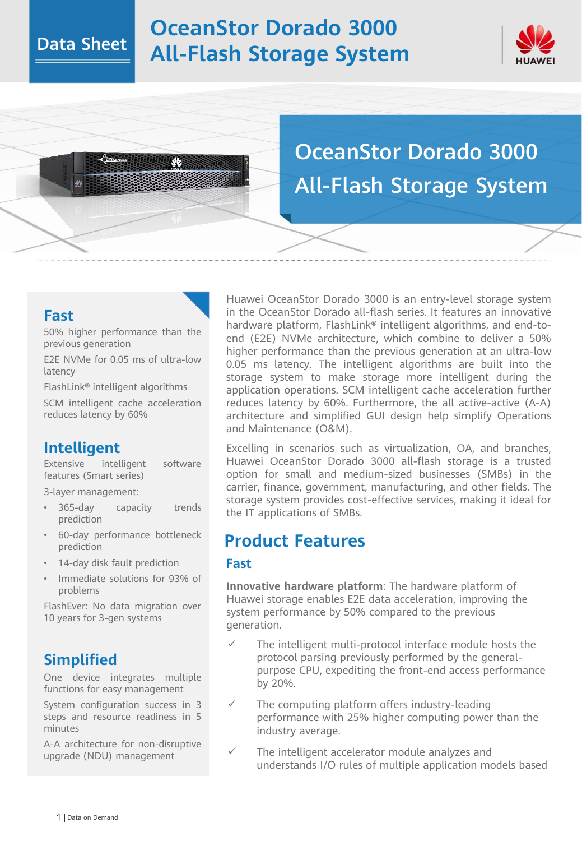# **OceanStor Dorado 3000 All-Flash Storage System**



# OceanStor Dorado 3000 All-Flash Storage System

### **Fast**

50% higher performance than the previous generation

E2E NVMe for 0.05 ms of ultra-low latency

FlashLink® intelligent algorithms

SCM intelligent cache acceleration reduces latency by 60%

## **Intelligent**

Extensive intelligent software features (Smart series)

3-layer management:

- 365-day capacity trends prediction
- 60-day performance bottleneck prediction
- 14-day disk fault prediction
- Immediate solutions for 93% of problems

FlashEver: No data migration over 10 years for 3-gen systems

## **Simplified**

One device integrates multiple functions for easy management

System configuration success in 3 steps and resource readiness in 5 minutes

A-A architecture for non-disruptive upgrade (NDU) management

Huawei OceanStor Dorado 3000 is an entry-level storage system in the OceanStor Dorado all-flash series. It features an innovative hardware platform, FlashLink<sup>®</sup> intelligent algorithms, and end-toend (E2E) NVMe architecture, which combine to deliver a 50% higher performance than the previous generation at an ultra-low 0.05 ms latency. The intelligent algorithms are built into the storage system to make storage more intelligent during the application operations. SCM intelligent cache acceleration further reduces latency by 60%. Furthermore, the all active-active (A-A) architecture and simplified GUI design help simplify Operations and Maintenance (O&M).

Excelling in scenarios such as virtualization, OA, and branches, Huawei OceanStor Dorado 3000 all-flash storage is a trusted option for small and medium-sized businesses (SMBs) in the carrier, finance, government, manufacturing, and other fields. The storage system provides cost-effective services, making it ideal for the IT applications of SMBs.

## **Product Features**

#### **Fast**

**Innovative hardware platform**: The hardware platform of Huawei storage enables E2E data acceleration, improving the system performance by 50% compared to the previous generation.

- The intelligent multi-protocol interface module hosts the protocol parsing previously performed by the generalpurpose CPU, expediting the front-end access performance by 20%.
- The computing platform offers industry-leading performance with 25% higher computing power than the industry average.
- The intelligent accelerator module analyzes and understands I/O rules of multiple application models based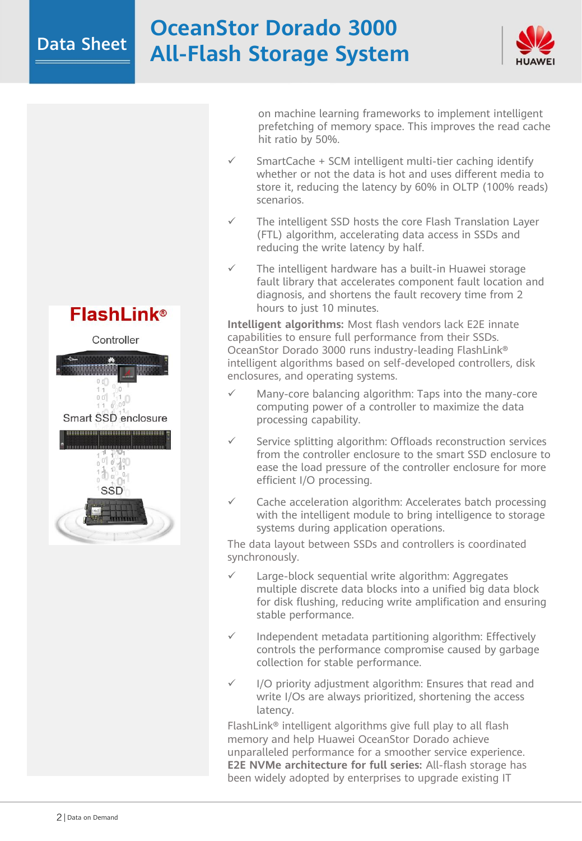# **OceanStor Dorado 3000 All-Flash Storage System**



**FlashLink®** 



Smart SSD enclosure



on machine learning frameworks to implement intelligent prefetching of memory space. This improves the read cache hit ratio by 50%.

- SmartCache + SCM intelligent multi-tier caching identify whether or not the data is hot and uses different media to store it, reducing the latency by 60% in OLTP (100% reads) scenarios.
- The intelligent SSD hosts the core Flash Translation Layer (FTL) algorithm, accelerating data access in SSDs and reducing the write latency by half.
- The intelligent hardware has a built-in Huawei storage fault library that accelerates component fault location and diagnosis, and shortens the fault recovery time from 2 hours to just 10 minutes.

**Intelligent algorithms:** Most flash vendors lack E2E innate capabilities to ensure full performance from their SSDs. OceanStor Dorado 3000 runs industry-leading FlashLink® intelligent algorithms based on self-developed controllers, disk enclosures, and operating systems.

- Many-core balancing algorithm: Taps into the many-core computing power of a controller to maximize the data processing capability.
- Service splitting algorithm: Offloads reconstruction services from the controller enclosure to the smart SSD enclosure to ease the load pressure of the controller enclosure for more efficient I/O processing.
- $\checkmark$  Cache acceleration algorithm: Accelerates batch processing with the intelligent module to bring intelligence to storage systems during application operations.

The data layout between SSDs and controllers is coordinated synchronously.

- Large-block sequential write algorithm: Aggregates multiple discrete data blocks into a unified big data block for disk flushing, reducing write amplification and ensuring stable performance.
- Independent metadata partitioning algorithm: Effectively controls the performance compromise caused by garbage collection for stable performance.
- I/O priority adjustment algorithm: Ensures that read and write I/Os are always prioritized, shortening the access latency.

FlashLink® intelligent algorithms give full play to all flash memory and help Huawei OceanStor Dorado achieve unparalleled performance for a smoother service experience. **E2E NVMe architecture for full series:** All-flash storage has been widely adopted by enterprises to upgrade existing IT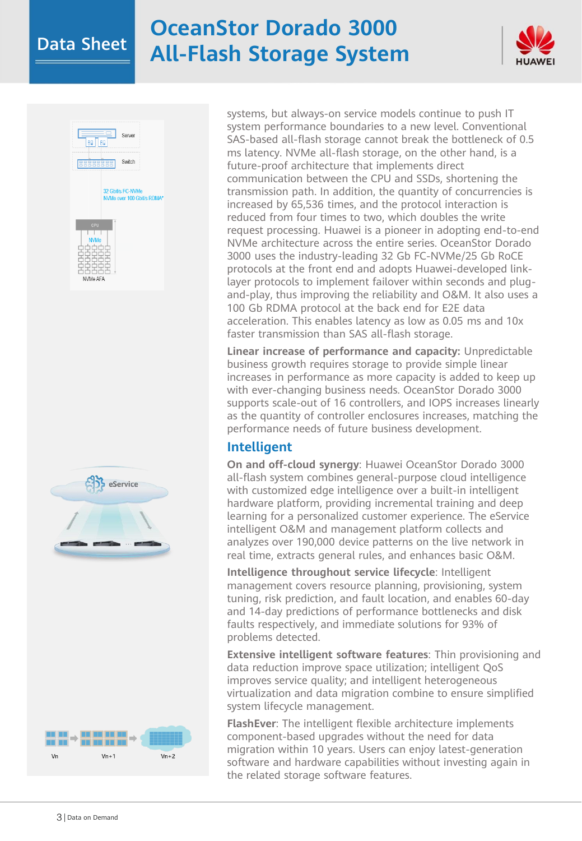# **OceanStor Dorado 3000 All-Flash Storage System**









systems, but always-on service models continue to push IT system performance boundaries to a new level. Conventional SAS-based all-flash storage cannot break the bottleneck of 0.5 ms latency. NVMe all-flash storage, on the other hand, is a future-proof architecture that implements direct communication between the CPU and SSDs, shortening the transmission path. In addition, the quantity of concurrencies is increased by 65,536 times, and the protocol interaction is reduced from four times to two, which doubles the write request processing. Huawei is a pioneer in adopting end-to-end NVMe architecture across the entire series. OceanStor Dorado 3000 uses the industry-leading 32 Gb FC-NVMe/25 Gb RoCE protocols at the front end and adopts Huawei-developed linklayer protocols to implement failover within seconds and plugand-play, thus improving the reliability and O&M. It also uses a 100 Gb RDMA protocol at the back end for E2E data acceleration. This enables latency as low as 0.05 ms and 10x faster transmission than SAS all-flash storage.

**Linear increase of performance and capacity:** Unpredictable business growth requires storage to provide simple linear increases in performance as more capacity is added to keep up with ever-changing business needs. OceanStor Dorado 3000 supports scale-out of 16 controllers, and IOPS increases linearly as the quantity of controller enclosures increases, matching the performance needs of future business development.

#### **Intelligent**

**On and off-cloud synergy**: Huawei OceanStor Dorado 3000 all-flash system combines general-purpose cloud intelligence with customized edge intelligence over a built-in intelligent hardware platform, providing incremental training and deep learning for a personalized customer experience. The eService intelligent O&M and management platform collects and analyzes over 190,000 device patterns on the live network in real time, extracts general rules, and enhances basic O&M.

**Intelligence throughout service lifecycle**: Intelligent management covers resource planning, provisioning, system tuning, risk prediction, and fault location, and enables 60-day and 14-day predictions of performance bottlenecks and disk faults respectively, and immediate solutions for 93% of problems detected.

**Extensive intelligent software features**: Thin provisioning and data reduction improve space utilization; intelligent QoS improves service quality; and intelligent heterogeneous virtualization and data migration combine to ensure simplified system lifecycle management.

**FlashEver**: The intelligent flexible architecture implements component-based upgrades without the need for data migration within 10 years. Users can enjoy latest-generation software and hardware capabilities without investing again in the related storage software features.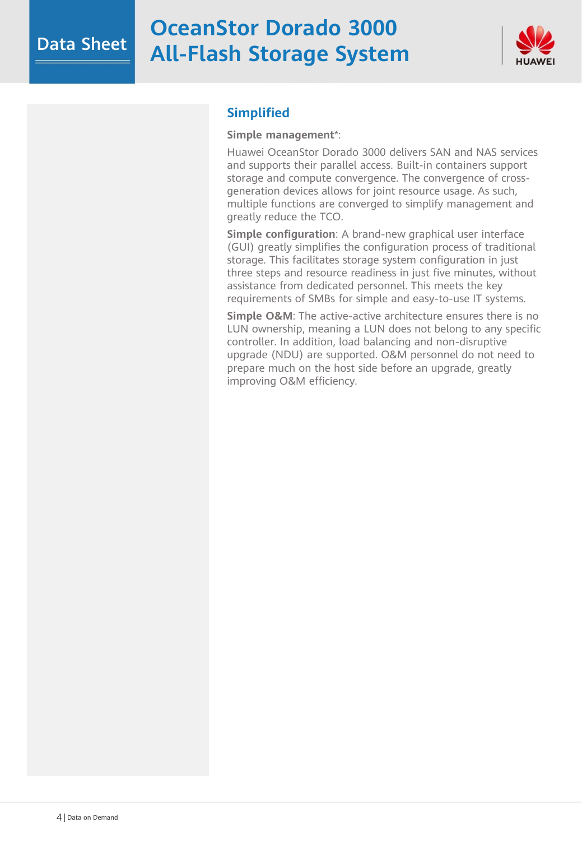# **OceanStor Dorado 3000 All-Flash Storage System**



#### **Simplified**

#### **Simple management**\*:

Huawei OceanStor Dorado 3000 delivers SAN and NAS services and supports their parallel access. Built-in containers support storage and compute convergence. The convergence of crossgeneration devices allows for joint resource usage. As such, multiple functions are converged to simplify management and greatly reduce the TCO.

**Simple configuration**: A brand-new graphical user interface (GUI) greatly simplifies the configuration process of traditional storage. This facilitates storage system configuration in just three steps and resource readiness in just five minutes, without assistance from dedicated personnel. This meets the key requirements of SMBs for simple and easy-to-use IT systems.

**Simple O&M**: The active-active architecture ensures there is no LUN ownership, meaning a LUN does not belong to any specific controller. In addition, load balancing and non-disruptive upgrade (NDU) are supported. O&M personnel do not need to prepare much on the host side before an upgrade, greatly improving O&M efficiency.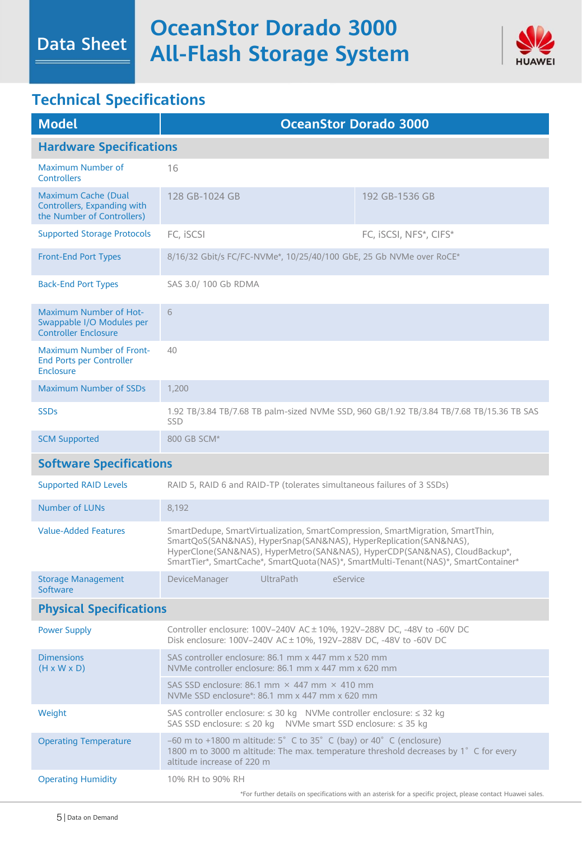

# **Technical Specifications**

Data Sheet

| <b>Model</b>                                                                              | <b>OceanStor Dorado 3000</b>                                                                                                                                                                                                                                                                                             |                        |
|-------------------------------------------------------------------------------------------|--------------------------------------------------------------------------------------------------------------------------------------------------------------------------------------------------------------------------------------------------------------------------------------------------------------------------|------------------------|
| <b>Hardware Specifications</b>                                                            |                                                                                                                                                                                                                                                                                                                          |                        |
| Maximum Number of<br><b>Controllers</b>                                                   | 16                                                                                                                                                                                                                                                                                                                       |                        |
| <b>Maximum Cache (Dual</b><br>Controllers, Expanding with<br>the Number of Controllers)   | 128 GB-1024 GB                                                                                                                                                                                                                                                                                                           | 192 GB-1536 GB         |
| <b>Supported Storage Protocols</b>                                                        | FC, iSCSI                                                                                                                                                                                                                                                                                                                | FC, iSCSI, NFS*, CIFS* |
| <b>Front-End Port Types</b>                                                               | 8/16/32 Gbit/s FC/FC-NVMe*, 10/25/40/100 GbE, 25 Gb NVMe over RoCE*                                                                                                                                                                                                                                                      |                        |
| <b>Back-End Port Types</b>                                                                | SAS 3.0/100 Gb RDMA                                                                                                                                                                                                                                                                                                      |                        |
| <b>Maximum Number of Hot-</b><br>Swappable I/O Modules per<br><b>Controller Enclosure</b> | 6                                                                                                                                                                                                                                                                                                                        |                        |
| <b>Maximum Number of Front-</b><br><b>End Ports per Controller</b><br><b>Enclosure</b>    | 40                                                                                                                                                                                                                                                                                                                       |                        |
| <b>Maximum Number of SSDs</b>                                                             | 1,200                                                                                                                                                                                                                                                                                                                    |                        |
| <b>SSDs</b>                                                                               | 1.92 TB/3.84 TB/7.68 TB palm-sized NVMe SSD, 960 GB/1.92 TB/3.84 TB/7.68 TB/15.36 TB SAS<br><b>SSD</b>                                                                                                                                                                                                                   |                        |
| <b>SCM Supported</b>                                                                      | 800 GB SCM*                                                                                                                                                                                                                                                                                                              |                        |
| <b>Software Specifications</b>                                                            |                                                                                                                                                                                                                                                                                                                          |                        |
| <b>Supported RAID Levels</b>                                                              | RAID 5, RAID 6 and RAID-TP (tolerates simultaneous failures of 3 SSDs)                                                                                                                                                                                                                                                   |                        |
| <b>Number of LUNs</b>                                                                     | 8,192                                                                                                                                                                                                                                                                                                                    |                        |
| <b>Value-Added Features</b>                                                               | SmartDedupe, SmartVirtualization, SmartCompression, SmartMigration, SmartThin,<br>SmartQoS(SAN&NAS), HyperSnap(SAN&NAS), HyperReplication(SAN&NAS),<br>HyperClone(SAN&NAS), HyperMetro(SAN&NAS), HyperCDP(SAN&NAS), CloudBackup*,<br>SmartTier*, SmartCache*, SmartQuota(NAS)*, SmartMulti-Tenant(NAS)*, SmartContainer* |                        |
| <b>Storage Management</b><br>Software                                                     | <b>UltraPath</b><br>DeviceManager<br>eService                                                                                                                                                                                                                                                                            |                        |
| <b>Physical Specifications</b>                                                            |                                                                                                                                                                                                                                                                                                                          |                        |
| <b>Power Supply</b>                                                                       | Controller enclosure: 100V-240V AC ± 10%, 192V-288V DC, -48V to -60V DC<br>Disk enclosure: 100V-240V AC ± 10%, 192V-288V DC, -48V to -60V DC                                                                                                                                                                             |                        |
| <b>Dimensions</b><br>$(H \times W \times D)$                                              | SAS controller enclosure: 86.1 mm x 447 mm x 520 mm<br>NVMe controller enclosure: 86.1 mm x 447 mm x 620 mm                                                                                                                                                                                                              |                        |
|                                                                                           | SAS SSD enclosure: 86.1 mm $\times$ 447 mm $\times$ 410 mm<br>NVMe SSD enclosure*: 86.1 mm x 447 mm x 620 mm                                                                                                                                                                                                             |                        |
| Weight                                                                                    | SAS controller enclosure: ≤ 30 kg NVMe controller enclosure: ≤ 32 kg<br>SAS SSD enclosure: ≤ 20 kg NVMe smart SSD enclosure: ≤ 35 kg                                                                                                                                                                                     |                        |
| <b>Operating Temperature</b>                                                              | $-60$ m to +1800 m altitude: 5° C to 35° C (bay) or 40° C (enclosure)<br>1800 m to 3000 m altitude: The max. temperature threshold decreases by 1° C for every<br>altitude increase of 220 m                                                                                                                             |                        |
| <b>Operating Humidity</b>                                                                 | 10% RH to 90% RH<br>*For further details on specifications with an asterisk for a specific project, please contact Huawei sales.                                                                                                                                                                                         |                        |